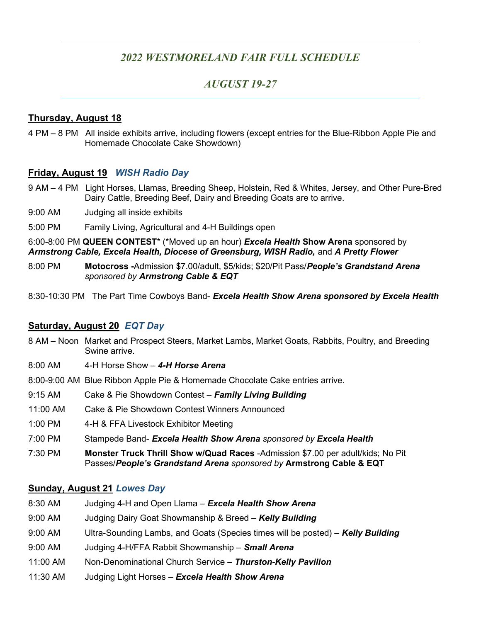## 2022 WESTMORELAND FAIR FULL SCHEDULE

## AUGUST 19-27

#### Thursday, August 18

4 PM – 8 PM All inside exhibits arrive, including flowers (except entries for the Blue-Ribbon Apple Pie and Homemade Chocolate Cake Showdown)

#### Friday, August 19 WISH Radio Day

- 9 AM 4 PM Light Horses, Llamas, Breeding Sheep, Holstein, Red & Whites, Jersey, and Other Pure-Bred Dairy Cattle, Breeding Beef, Dairy and Breeding Goats are to arrive.
- 9:00 AM Judging all inside exhibits
- 5:00 PM Family Living, Agricultural and 4-H Buildings open

6:00-8:00 PM QUEEN CONTEST<sup>\*</sup> (\*Moved up an hour) Excela Health Show Arena sponsored by Armstrong Cable, Excela Health, Diocese of Greensburg, WISH Radio, and A Pretty Flower

- 8:00 PM **Motocross -Admission \$7.00/adult, \$5/kids**; \$20/Pit Pass/People's Grandstand Arena sponsored by Armstrong Cable & EQT
- 8:30-10:30 PM The Part Time Cowboys Band- Excela Health Show Arena sponsored by Excela Health

#### Saturday, August 20 EQT Day

- 8 AM Noon Market and Prospect Steers, Market Lambs, Market Goats, Rabbits, Poultry, and Breeding Swine arrive.
- 8:00 AM 4-H Horse Show 4-H Horse Arena
- 8:00-9:00 AM Blue Ribbon Apple Pie & Homemade Chocolate Cake entries arrive.
- 9:15 AM Cake & Pie Showdown Contest Family Living Building
- 11:00 AM Cake & Pie Showdown Contest Winners Announced
- 1:00 PM 4-H & FFA Livestock Exhibitor Meeting
- 7:00 PM Stampede Band- Excela Health Show Arena sponsored by Excela Health
- 7:30 PM Monster Truck Thrill Show w/Quad Races -Admission \$7.00 per adult/kids; No Pit Passes/People's Grandstand Arena sponsored by Armstrong Cable & EQT

#### Sunday, August 21 Lowes Day

- 8:30 AM Judging 4-H and Open Llama **Excela Health Show Arena**
- 9:00 AM Judging Dairy Goat Showmanship & Breed Kelly Building
- 9:00 AM Ultra-Sounding Lambs, and Goats (Species times will be posted) **Kelly Building**
- 9:00 AM Judging 4-H/FFA Rabbit Showmanship **Small Arena**
- 11:00 AM Non-Denominational Church Service Thurston-Kelly Pavilion
- 11:30 AM Judging Light Horses Excela Health Show Arena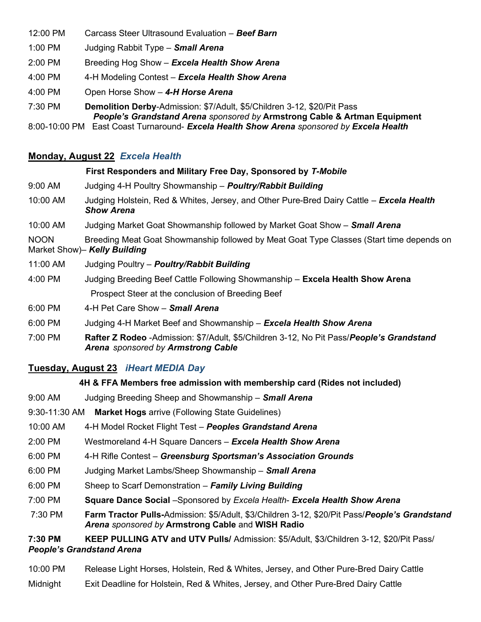- 12:00 PM Carcass Steer Ultrasound Evaluation Beef Barn
- 1:00 PM Judging Rabbit Type **Small Arena**
- 2:00 PM Breeding Hog Show Excela Health Show Arena
- 4:00 PM 4-H Modeling Contest Excela Health Show Arena
- 4:00 PM Open Horse Show 4-H Horse Arena
- 7:30 PM Demolition Derby-Admission: \$7/Adult, \$5/Children 3-12, \$20/Pit Pass People's Grandstand Arena sponsored by Armstrong Cable & Artman Equipment

8:00-10:00 PM East Coast Turnaround- Excela Health Show Arena sponsored by Excela Health

#### Monday, August 22 Excela Health

# First Responders and Military Free Day, Sponsored by T-Mobile 9:00 AM Judging 4-H Poultry Showmanship – **Poultry/Rabbit Building** 10:00 AM Judging Holstein, Red & Whites, Jersey, and Other Pure-Bred Dairy Cattle – Excela Health Show Arena 10:00 AM Judging Market Goat Showmanship followed by Market Goat Show – **Small Arena** NOON Breeding Meat Goat Showmanship followed by Meat Goat Type Classes (Start time depends on Market Show)- Kelly Building 11:00 AM Judging Poultry – **Poultry/Rabbit Building** 4:00 PM Judging Breeding Beef Cattle Following Showmanship – Excela Health Show Arena

- Prospect Steer at the conclusion of Breeding Beef
- 6:00 PM 4-H Pet Care Show Small Arena
- 6:00 PM Judging 4-H Market Beef and Showmanship Excela Health Show Arena
- 7:00 PM Rafter Z Rodeo -Admission: \$7/Adult, \$5/Children 3-12, No Pit Pass/People's Grandstand Arena sponsored by Armstrong Cable

## Tuesday, August 23 iHeart MEDIA Day

#### 4H & FFA Members free admission with membership card (Rides not included)

- 9:00 AM Judging Breeding Sheep and Showmanship **Small Arena**
- 9:30-11:30 AM Market Hogs arrive (Following State Guidelines)
- 10:00 AM 4-H Model Rocket Flight Test Peoples Grandstand Arena
- 2:00 PM Westmoreland 4-H Square Dancers Excela Health Show Arena
- 6:00 PM 4-H Rifle Contest Greensburg Sportsman's Association Grounds
- 6:00 PM Judging Market Lambs/Sheep Showmanship Small Arena
- 6:00 PM Sheep to Scarf Demonstration Family Living Building
- 7:00 PM Square Dance Social –Sponsored by Excela Health- Excela Health Show Arena
- 7:30 PM Farm Tractor Pulls-Admission: \$5/Adult, \$3/Children 3-12, \$20/Pit Pass/People's Grandstand Arena sponsored by Armstrong Cable and WISH Radio

7:30 PM KEEP PULLING ATV and UTV Pulls/ Admission: \$5/Adult, \$3/Children 3-12, \$20/Pit Pass/ People's Grandstand Arena

- 10:00 PM Release Light Horses, Holstein, Red & Whites, Jersey, and Other Pure-Bred Dairy Cattle
- Midnight Exit Deadline for Holstein, Red & Whites, Jersey, and Other Pure-Bred Dairy Cattle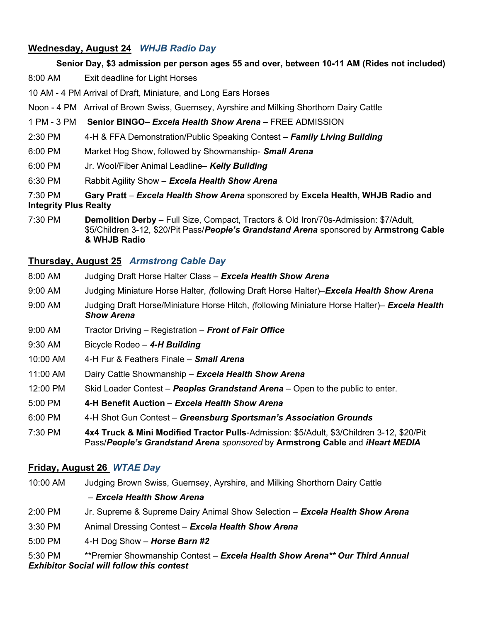#### Wednesday, August 24 WHJB Radio Day

#### Senior Day, \$3 admission per person ages 55 and over, between 10-11 AM (Rides not included)

- 8:00 AM Exit deadline for Light Horses
- 10 AM 4 PM Arrival of Draft, Miniature, and Long Ears Horses
- Noon 4 PM Arrival of Brown Swiss, Guernsey, Ayrshire and Milking Shorthorn Dairy Cattle
- 1 PM 3 PM Senior BINGO– Excela Health Show Arena FREE ADMISSION
- 2:30 PM 4-H & FFA Demonstration/Public Speaking Contest Family Living Building
- 6:00 PM Market Hog Show, followed by Showmanship- **Small Arena**
- 6:00 PM Jr. Wool/Fiber Animal Leadline– Kelly Building
- 6:30 PM Rabbit Agility Show Excela Health Show Arena
- 7:30 PM Gary Pratt Excela Health Show Arena sponsored by Excela Health, WHJB Radio and Integrity Plus Realty
- 7:30 PM Demolition Derby Full Size, Compact, Tractors & Old Iron/70s-Admission: \$7/Adult, \$5/Children 3-12, \$20/Pit Pass/People's Grandstand Arena sponsored by Armstrong Cable & WHJB Radio

#### Thursday, August 25 Armstrong Cable Day

- 8:00 AM Judging Draft Horse Halter Class Excela Health Show Arena
- 9:00 AM Judging Miniature Horse Halter, (following Draft Horse Halter)–Excela Health Show Arena
- 9:00 AM Judging Draft Horse/Miniature Horse Hitch, (following Miniature Horse Halter)– **Excela Health** Show Arena
- 9:00 AM Tractor Driving Registration Front of Fair Office
- 9:30 AM Bicycle Rodeo 4-H Building
- 10:00 AM 4-H Fur & Feathers Finale **Small Arena**
- 11:00 AM Dairy Cattle Showmanship Excela Health Show Arena
- 12:00 PM Skid Loader Contest Peoples Grandstand Arena Open to the public to enter.
- 5:00 PM 4-H Benefit Auction Excela Health Show Arena
- 6:00 PM 4-H Shot Gun Contest Greensburg Sportsman's Association Grounds
- 7:30 PM 4x4 Truck & Mini Modified Tractor Pulls-Admission: \$5/Adult, \$3/Children 3-12, \$20/Pit Pass/People's Grandstand Arena sponsored by Armstrong Cable and iHeart MEDIA

#### Friday, August 26 WTAE Day

10:00 AM Judging Brown Swiss, Guernsey, Ayrshire, and Milking Shorthorn Dairy Cattle – Excela Health Show Arena 2:00 PM Jr. Supreme & Supreme Dairy Animal Show Selection – Excela Health Show Arena 3:30 PM Animal Dressing Contest - Excela Health Show Arena 5:00 PM  $4-H$  Dog Show – **Horse Barn #2** 

5:30 PM \*\*\* Premier Showmanship Contest – Excela Health Show Arena\*\* Our Third Annual Exhibitor Social will follow this contest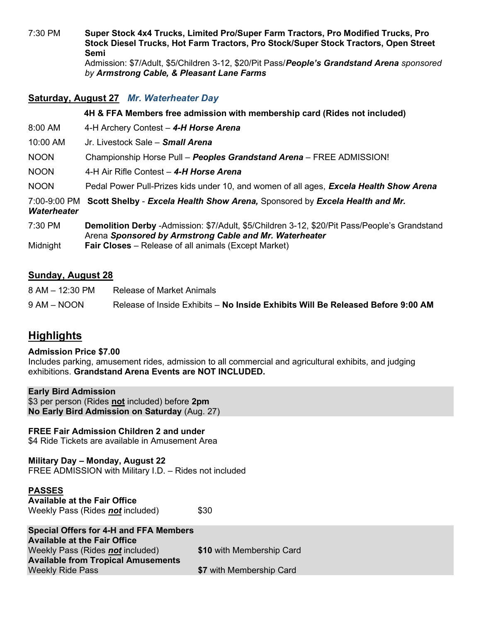7:30 PM Super Stock 4x4 Trucks, Limited Pro/Super Farm Tractors, Pro Modified Trucks, Pro Stock Diesel Trucks, Hot Farm Tractors, Pro Stock/Super Stock Tractors, Open Street Semi Admission: \$7/Adult, \$5/Children 3-12, \$20/Pit Pass/People's Grandstand Arena sponsored

## Saturday, August 27 Mr. Waterheater Day

4H & FFA Members free admission with membership card (Rides not included)

8:00 AM 4-H Archery Contest - 4-H Horse Arena

by Armstrong Cable, & Pleasant Lane Farms

- 10:00 AM Jr. Livestock Sale Small Arena
- NOON Championship Horse Pull Peoples Grandstand Arena FREE ADMISSION!
- NOON 4-H Air Rifle Contest 4-H Horse Arena
- NOON Pedal Power Pull-Prizes kids under 10, and women of all ages, Excela Health Show Arena
- 7:00-9:00 PM Scott Shelby Excela Health Show Arena, Sponsored by Excela Health and Mr.
- **Waterheater**
- 7:30 PM Demolition Derby -Admission: \$7/Adult, \$5/Children 3-12, \$20/Pit Pass/People's Grandstand Arena Sponsored by Armstrong Cable and Mr. Waterheater
- Midnight **Fair Closes** Release of all animals (Except Market)

#### Sunday, August 28

| 8 AM – 12:30 PM | Release of Market Animals                                                       |
|-----------------|---------------------------------------------------------------------------------|
| 9 AM – NOON     | Release of Inside Exhibits – No Inside Exhibits Will Be Released Before 9:00 AM |

# **Highlights**

#### Admission Price \$7.00

Includes parking, amusement rides, admission to all commercial and agricultural exhibits, and judging exhibitions. Grandstand Arena Events are NOT INCLUDED.

#### Early Bird Admission

\$3 per person (Rides not included) before 2pm No Early Bird Admission on Saturday (Aug. 27)

#### FREE Fair Admission Children 2 and under

\$4 Ride Tickets are available in Amusement Area

Military Day – Monday, August 22 FREE ADMISSION with Military I.D. – Rides not included

Weekly Ride Pass **\$7 with Membership Card** 

| <b>PASSES</b>                                                                        |                           |
|--------------------------------------------------------------------------------------|---------------------------|
| <b>Available at the Fair Office</b>                                                  |                           |
| Weekly Pass (Rides not included)                                                     | \$30                      |
| <b>Special Offers for 4-H and FFA Members</b><br><b>Available at the Fair Office</b> |                           |
| Weekly Pass (Rides not included)                                                     | \$10 with Membership Card |
| <b>Available from Tropical Amusements</b>                                            |                           |